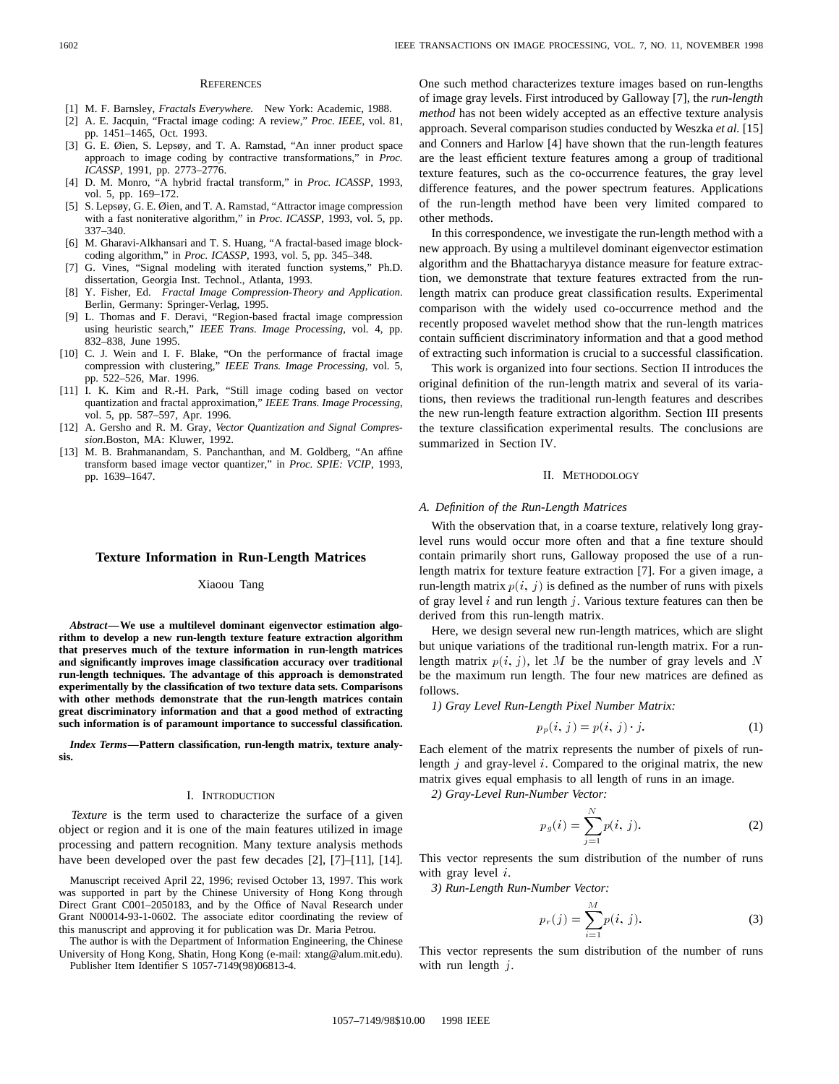#### **REFERENCES**

- [1] M. F. Barnsley, *Fractals Everywhere.* New York: Academic, 1988.
- [2] A. E. Jacquin, "Fractal image coding: A review," *Proc. IEEE*, vol. 81, pp. 1451–1465, Oct. 1993.
- [3] G. E. Øien, S. Lepsøy, and T. A. Ramstad, "An inner product space approach to image coding by contractive transformations," in *Proc. ICASSP*, 1991, pp. 2773–2776.
- [4] D. M. Monro, "A hybrid fractal transform," in *Proc. ICASSP*, 1993, vol. 5, pp. 169–172.
- [5] S. Lepsøy, G. E. Øien, and T. A. Ramstad, "Attractor image compression with a fast noniterative algorithm," in *Proc. ICASSP*, 1993, vol. 5, pp. 337–340.
- [6] M. Gharavi-Alkhansari and T. S. Huang, "A fractal-based image blockcoding algorithm," in *Proc. ICASSP*, 1993, vol. 5, pp. 345–348.
- [7] G. Vines, "Signal modeling with iterated function systems," Ph.D. dissertation, Georgia Inst. Technol., Atlanta, 1993.
- [8] Y. Fisher, Ed. *Fractal Image Compression-Theory and Application*. Berlin, Germany: Springer-Verlag, 1995.
- [9] L. Thomas and F. Deravi, "Region-based fractal image compression using heuristic search," *IEEE Trans. Image Processing*, vol. 4, pp. 832–838, June 1995.
- [10] C. J. Wein and I. F. Blake, "On the performance of fractal image compression with clustering," *IEEE Trans. Image Processing*, vol. 5, pp. 522–526, Mar. 1996.
- [11] I. K. Kim and R.-H. Park, "Still image coding based on vector quantization and fractal approximation," *IEEE Trans. Image Processing*, vol. 5, pp. 587–597, Apr. 1996.
- [12] A. Gersho and R. M. Gray, *Vector Quantization and Signal Compression*.Boston, MA: Kluwer, 1992.
- [13] M. B. Brahmanandam, S. Panchanthan, and M. Goldberg, "An affine transform based image vector quantizer," in *Proc. SPIE: VCIP*, 1993, pp. 1639–1647.

# **Texture Information in Run-Length Matrices**

## Xiaoou Tang

*Abstract—***We use a multilevel dominant eigenvector estimation algorithm to develop a new run-length texture feature extraction algorithm that preserves much of the texture information in run-length matrices and significantly improves image classification accuracy over traditional run-length techniques. The advantage of this approach is demonstrated experimentally by the classification of two texture data sets. Comparisons with other methods demonstrate that the run-length matrices contain great discriminatory information and that a good method of extracting such information is of paramount importance to successful classification.**

*Index Terms—***Pattern classification, run-length matrix, texture analysis.**

#### I. INTRODUCTION

*Texture* is the term used to characterize the surface of a given object or region and it is one of the main features utilized in image processing and pattern recognition. Many texture analysis methods have been developed over the past few decades [2], [7]–[11], [14].

Manuscript received April 22, 1996; revised October 13, 1997. This work was supported in part by the Chinese University of Hong Kong through Direct Grant C001–2050183, and by the Office of Naval Research under Grant N00014-93-1-0602. The associate editor coordinating the review of this manuscript and approving it for publication was Dr. Maria Petrou.

The author is with the Department of Information Engineering, the Chinese University of Hong Kong, Shatin, Hong Kong (e-mail: xtang@alum.mit.edu). Publisher Item Identifier S 1057-7149(98)06813-4.

One such method characterizes texture images based on run-lengths of image gray levels. First introduced by Galloway [7], the *run-length method* has not been widely accepted as an effective texture analysis approach. Several comparison studies conducted by Weszka *et al.* [15] and Conners and Harlow [4] have shown that the run-length features are the least efficient texture features among a group of traditional texture features, such as the co-occurrence features, the gray level difference features, and the power spectrum features. Applications of the run-length method have been very limited compared to other methods.

In this correspondence, we investigate the run-length method with a new approach. By using a multilevel dominant eigenvector estimation algorithm and the Bhattacharyya distance measure for feature extraction, we demonstrate that texture features extracted from the runlength matrix can produce great classification results. Experimental comparison with the widely used co-occurrence method and the recently proposed wavelet method show that the run-length matrices contain sufficient discriminatory information and that a good method of extracting such information is crucial to a successful classification.

This work is organized into four sections. Section II introduces the original definition of the run-length matrix and several of its variations, then reviews the traditional run-length features and describes the new run-length feature extraction algorithm. Section III presents the texture classification experimental results. The conclusions are summarized in Section IV.

### II. METHODOLOGY

#### *A. Definition of the Run-Length Matrices*

With the observation that, in a coarse texture, relatively long graylevel runs would occur more often and that a fine texture should contain primarily short runs, Galloway proposed the use of a runlength matrix for texture feature extraction [7]. For a given image, a run-length matrix  $p(i, j)$  is defined as the number of runs with pixels of gray level  $i$  and run length  $j$ . Various texture features can then be derived from this run-length matrix.

Here, we design several new run-length matrices, which are slight but unique variations of the traditional run-length matrix. For a runlength matrix  $p(i, j)$ , let M be the number of gray levels and N be the maximum run length. The four new matrices are defined as follows.

1) Gray Level Run-Length Pixel Number Matrix:  
\n
$$
p_p(i, j) = p(i, j) \cdot j.
$$
\n(1)

Each element of the matrix represents the number of pixels of runlength  $j$  and gray-level  $i$ . Compared to the original matrix, the new matrix gives equal emphasis to all length of runs in an image.

*2) Gray-Level Run-Number Vector:*

$$
p_g(i) = \sum_{j=1}^{N} p(i, j).
$$
 (2)

This vector represents the sum distribution of the number of runs with gray level  $i$ .

*3) Run-Length Run-Number Vector:*

$$
p_r(j) = \sum_{i=1}^{M} p(i, j).
$$
 (3)

This vector represents the sum distribution of the number of runs with run length  $j$ .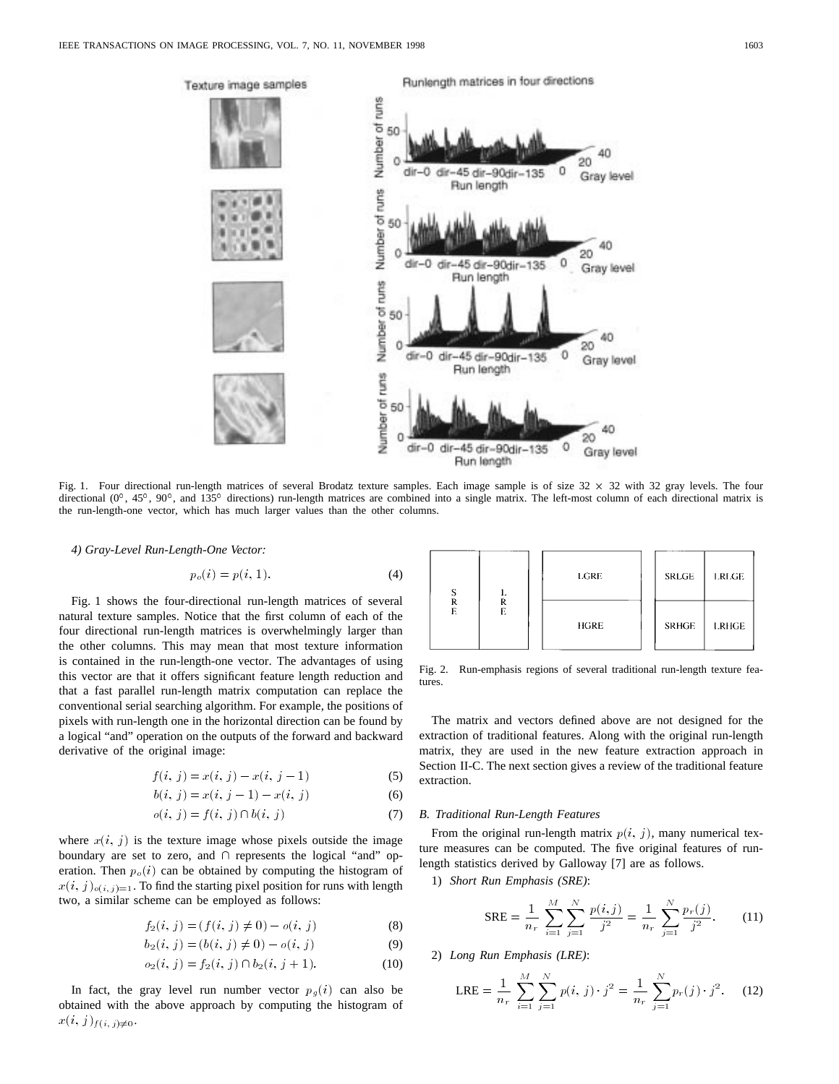

Fig. 1. Four directional run-length matrices of several Brodatz texture samples. Each image sample is of size  $32 \times 32$  with  $32$  gray levels. The four directional  $(0^{\circ}, 45^{\circ}, 90^{\circ},$  and  $135^{\circ}$  directions) run-length matrices are combined into a single matrix. The left-most column of each directional matrix is the run-length-one vector, which has much larger values than the other columns.

*4) Gray-Level Run-Length-One Vector:*

$$
p_o(i) = p(i, 1). \tag{4}
$$

Fig. 1 shows the four-directional run-length matrices of several natural texture samples. Notice that the first column of each of the four directional run-length matrices is overwhelmingly larger than the other columns. This may mean that most texture information is contained in the run-length-one vector. The advantages of using this vector are that it offers significant feature length reduction and that a fast parallel run-length matrix computation can replace the conventional serial searching algorithm. For example, the positions of pixels with run-length one in the horizontal direction can be found by a logical "and" operation on the outputs of the forward and backward derivative of the original image:

$$
f(i, j) = x(i, j) - x(i, j - 1)
$$
\n(5)

$$
b(i, j) = x(i, j - 1) - x(i, j)
$$
 (6)

$$
o(i, j) = f(i, j) \cap b(i, j)
$$
\n
$$
(7)
$$

where  $x(i, j)$  is the texture image whose pixels outside the image boundary are set to zero, and  $\cap$  represents the logical "and" operation. Then  $p<sub>o</sub>(i)$  can be obtained by computing the histogram of  $x(i, j)_{o(i, j)=1}$ . To find the starting pixel position for runs with length two, a similar scheme can be employed as follows:

$$
f_2(i, j) = (f(i, j) \neq 0) - o(i, j)
$$
\n(8)

$$
b_2(i, j) = (b(i, j) \neq 0) - o(i, j)
$$
\n(9)

$$
o_2(i, j) = f_2(i, j) \cap b_2(i, j + 1).
$$
 (10)

In fact, the gray level run number vector  $p_g(i)$  can also be obtained with the above approach by computing the histogram of  $x(i, j)_{f(i, j) \neq 0}$ .



Fig. 2. Run-emphasis regions of several traditional run-length texture features.

The matrix and vectors defined above are not designed for the extraction of traditional features. Along with the original run-length matrix, they are used in the new feature extraction approach in Section II-C. The next section gives a review of the traditional feature extraction.

# *B. Traditional Run-Length Features*

From the original run-length matrix  $p(i, j)$ , many numerical texture measures can be computed. The five original features of runlength statistics derived by Galloway [7] are as follows.

1) *Short Run Emphasis (SRE)*:

$$
SRE = \frac{1}{n_r} \sum_{i=1}^{M} \sum_{j=1}^{N} \frac{p(i,j)}{j^2} = \frac{1}{n_r} \sum_{j=1}^{N} \frac{p_r(j)}{j^2}.
$$
 (11)

2) *Long Run Emphasis (LRE)*:

$$
LRE = \frac{1}{n_r} \sum_{i=1}^{M} \sum_{j=1}^{N} p(i, j) \cdot j^2 = \frac{1}{n_r} \sum_{j=1}^{N} p_r(j) \cdot j^2.
$$
 (12)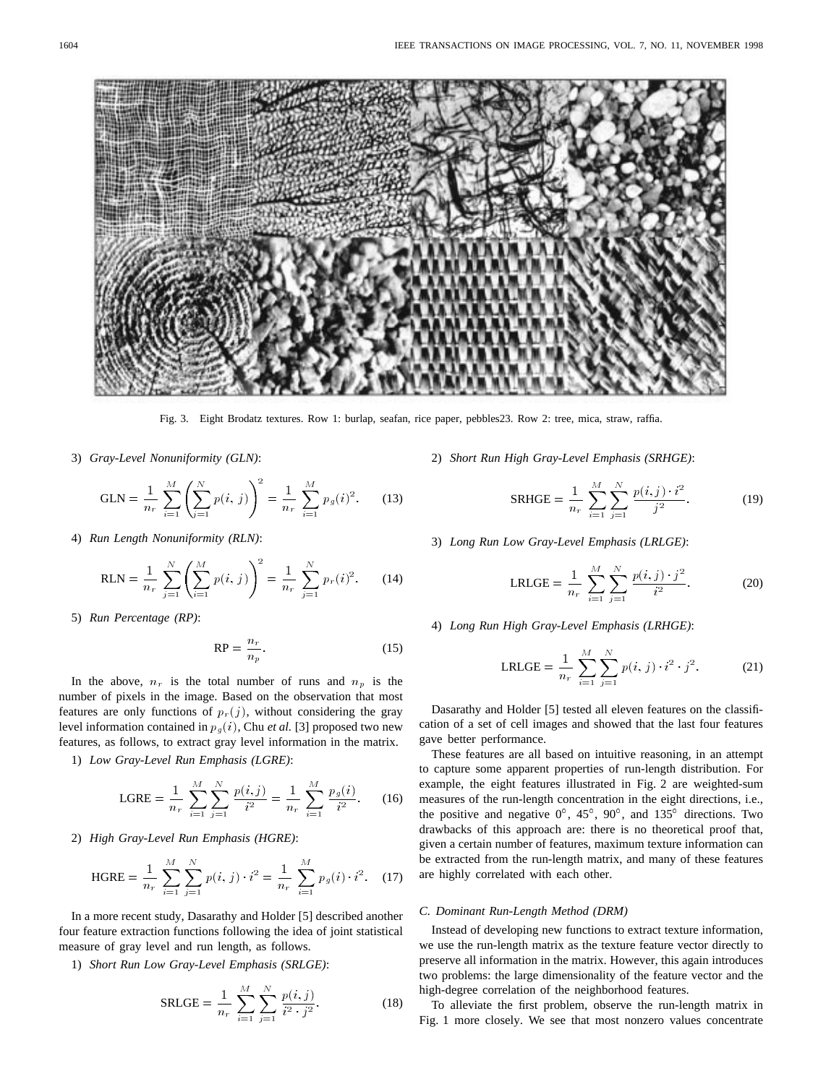Fig. 3. Eight Brodatz textures. Row 1: burlap, seafan, rice paper, pebbles23. Row 2: tree, mica, straw, raffia.

3) *Gray-Level Nonuniformity (GLN)*:

GLN = 
$$
\frac{1}{n_r} \sum_{i=1}^{M} \left( \sum_{j=1}^{N} p(i, j) \right)^2 = \frac{1}{n_r} \sum_{i=1}^{M} p_g(i)^2.
$$
 (13)

4) *Run Length Nonuniformity (RLN)*:

RLN = 
$$
\frac{1}{n_r} \sum_{j=1}^{N} \left( \sum_{i=1}^{M} p(i, j) \right)^2 = \frac{1}{n_r} \sum_{j=1}^{N} p_r(i)^2.
$$
 (14)

5) *Run Percentage (RP)*:

$$
RP = \frac{n_r}{n_p}.\tag{15}
$$

In the above,  $n_r$  is the total number of runs and  $n_p$  is the number of pixels in the image. Based on the observation that most features are only functions of  $p_r(j)$ , without considering the gray level information contained in  $p_q(i)$ , Chu *et al.* [3] proposed two new features, as follows, to extract gray level information in the matrix.

1) *Low Gray-Level Run Emphasis (LGRE)*:

$$
LGRE = \frac{1}{n_r} \sum_{i=1}^{M} \sum_{j=1}^{N} \frac{p(i,j)}{i^2} = \frac{1}{n_r} \sum_{i=1}^{M} \frac{p_g(i)}{i^2}.
$$
 (16)

2) *High Gray-Level Run Emphasis (HGRE)*:

HGRE = 
$$
\frac{1}{n_r} \sum_{i=1}^{M} \sum_{j=1}^{N} p(i, j) \cdot i^2 = \frac{1}{n_r} \sum_{i=1}^{M} p_g(i) \cdot i^2
$$
. (17)

In a more recent study, Dasarathy and Holder [5] described another four feature extraction functions following the idea of joint statistical measure of gray level and run length, as follows.

1) *Short Run Low Gray-Level Emphasis (SRLGE)*:

$$
SRLGE = \frac{1}{n_r} \sum_{i=1}^{M} \sum_{j=1}^{N} \frac{p(i,j)}{i^2 \cdot j^2}.
$$
 (18)

2) *Short Run High Gray-Level Emphasis (SRHGE)*:

$$
SRHGE = \frac{1}{n_r} \sum_{i=1}^{M} \sum_{j=1}^{N} \frac{p(i,j) \cdot i^2}{j^2}.
$$
 (19)

3) *Long Run Low Gray-Level Emphasis (LRLGE)*:

LRLGE = 
$$
\frac{1}{n_r} \sum_{i=1}^{M} \sum_{j=1}^{N} \frac{p(i,j) \cdot j^2}{i^2}.
$$
 (20)

4) *Long Run High Gray-Level Emphasis (LRHGE)*:

LRLGE = 
$$
\frac{1}{n_r} \sum_{i=1}^{M} \sum_{j=1}^{N} p(i, j) \cdot i^2 \cdot j^2.
$$
 (21)

Dasarathy and Holder [5] tested all eleven features on the classification of a set of cell images and showed that the last four features gave better performance.

These features are all based on intuitive reasoning, in an attempt to capture some apparent properties of run-length distribution. For example, the eight features illustrated in Fig. 2 are weighted-sum measures of the run-length concentration in the eight directions, i.e., the positive and negative  $0^\circ$ ,  $45^\circ$ ,  $90^\circ$ , and  $135^\circ$  directions. Two drawbacks of this approach are: there is no theoretical proof that, given a certain number of features, maximum texture information can be extracted from the run-length matrix, and many of these features are highly correlated with each other.

# *C. Dominant Run-Length Method (DRM)*

Instead of developing new functions to extract texture information, we use the run-length matrix as the texture feature vector directly to preserve all information in the matrix. However, this again introduces two problems: the large dimensionality of the feature vector and the high-degree correlation of the neighborhood features.

To alleviate the first problem, observe the run-length matrix in Fig. 1 more closely. We see that most nonzero values concentrate

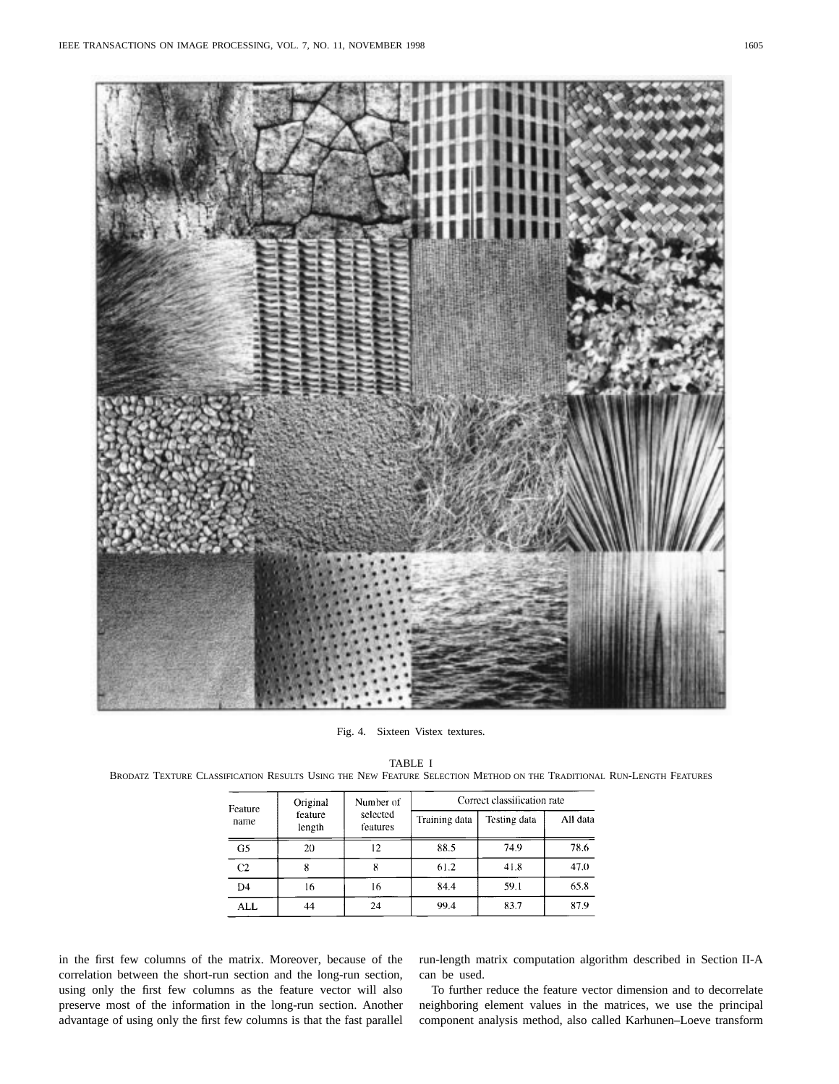

Fig. 4. Sixteen Vistex textures.

| Feature<br>name | Original<br>feature<br>length | Number of<br>selected<br>features | Correct classification rate |              |          |  |
|-----------------|-------------------------------|-----------------------------------|-----------------------------|--------------|----------|--|
|                 |                               |                                   | Training data               | Testing data | All data |  |
| G <sub>5</sub>  | 20                            | 12                                | 88.5                        | 74.9         | 78.6     |  |
| C <sub>2</sub>  |                               |                                   | 61.2                        | 41.8         | 47.0     |  |
| D <sub>4</sub>  | 16                            | 16                                | 84.4                        | 59.1         | 65.8     |  |
| ALL             | 44                            | 24                                | 99.4                        | 83.7         | 87.9     |  |

### TABLE I

BRODATZ TEXTURE CLASSIFICATION RESULTS USING THE NEW FEATURE SELECTION METHOD ON THE TRADITIONAL RUN-LENGTH FEATURES

in the first few columns of the matrix. Moreover, because of the correlation between the short-run section and the long-run section, using only the first few columns as the feature vector will also preserve most of the information in the long-run section. Another advantage of using only the first few columns is that the fast parallel

run-length matrix computation algorithm described in Section II-A can be used.

To further reduce the feature vector dimension and to decorrelate neighboring element values in the matrices, we use the principal component analysis method, also called Karhunen–Loeve transform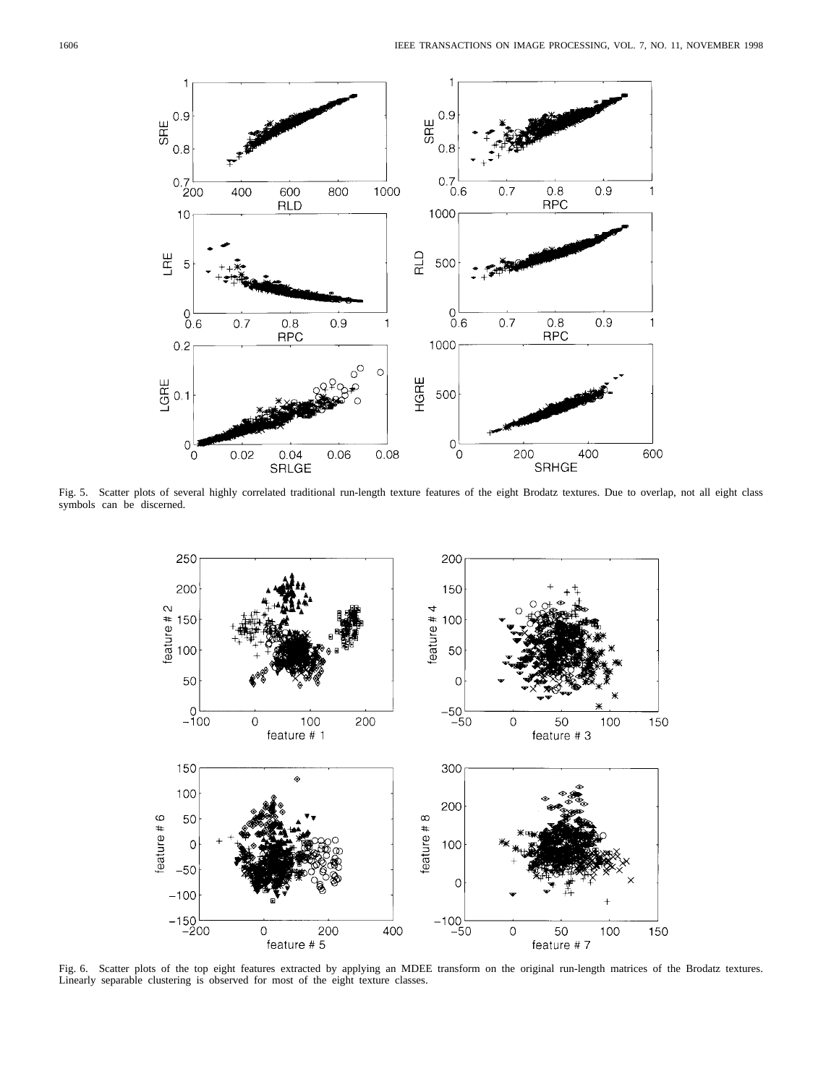

Fig. 5. Scatter plots of several highly correlated traditional run-length texture features of the eight Brodatz textures. Due to overlap, not all eight class symbols can be discerned.



Fig. 6. Scatter plots of the top eight features extracted by applying an MDEE transform on the original run-length matrices of the Brodatz textures. Linearly separable clustering is observed for most of the eight texture classes.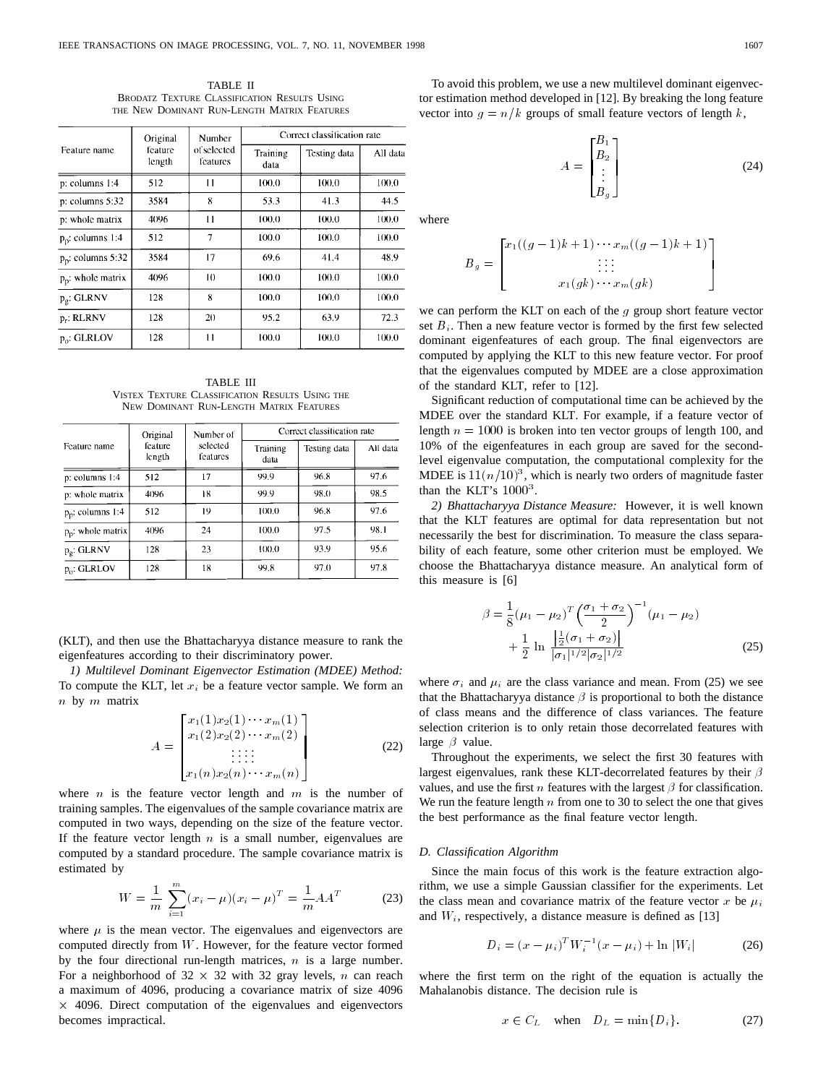TABLE II BRODATZ TEXTURE CLASSIFICATION RESULTS USING THE NEW DOMINANT RUN-LENGTH MATRIX FEATURES

|                               | Original<br>feature<br>length | Number<br>of selected<br>features | Correct classification rate |              |          |  |
|-------------------------------|-------------------------------|-----------------------------------|-----------------------------|--------------|----------|--|
| Feature name                  |                               |                                   | Training<br>data            | Testing data | All data |  |
| p: columns 1:4                | 512                           | $\overline{11}$                   | 100.0                       | 100.0        | 100.0    |  |
| $p$ : columns $5:32$          | 3584                          | 8                                 | 53.3                        | 41.3         | 44.5     |  |
| p: whole matrix               | 4096                          | 11                                | 100.0                       | 100.0        | 100.0    |  |
| $p_p$ : columns 1:4           | 512                           | 7                                 | 100.0                       | 100.0        | 100.0    |  |
| p <sub>p</sub> : columns 5:32 | 3584                          | 17                                | 69.6                        | 41.4         | 48.9     |  |
| $p_p$ : whole matrix          | 4096                          | 10                                | 100.0                       | 100.0        | 100.0    |  |
| $p_g$ : GLRNV                 | 128                           | 8                                 | 100.0                       | 100.0        | 100.0    |  |
| $p_r$ : RLRNV                 | 128                           | 20                                | 95.2                        | 63.9         | 72.3     |  |
| $p_0$ : GLRLOV                | 128                           | 11                                | 100.0                       | 100.0        | 100.0    |  |

TABLE III VISTEX TEXTURE CLASSIFICATION RESULTS USING THE NEW DOMINANT RUN-LENGTH MATRIX FEATURES

|                      | Original<br>feature<br>length | Number of<br>selected<br>features | Correct classification rate |              |          |  |
|----------------------|-------------------------------|-----------------------------------|-----------------------------|--------------|----------|--|
| Feature name         |                               |                                   | Training<br>data            | Testing data | All data |  |
| $p:$ columns $1:4$   | 512                           | 17                                | 99.9                        | 96.8         | 97.6     |  |
| p: whole matrix      | 4096                          | 18                                | 99.9                        | 98.0         | 98.5     |  |
| $p_n$ : columns 1:4  | 512                           | 19                                | 100.0                       | 96.8         | 97.6     |  |
| $p_p$ : whole matrix | 4096                          | 24                                | 100.0                       | 97.5         | 98.1     |  |
| $p_{\rho}$ : GLRNV   | 128                           | 23                                | 100.0                       | 93.9         | 95.6     |  |
| $p_0$ : GLRLOV       | 128                           | 18                                | 99.8                        | 97.0         | 97.8     |  |

(KLT), and then use the Bhattacharyya distance measure to rank the eigenfeatures according to their discriminatory power.

*1) Multilevel Dominant Eigenvector Estimation (MDEE) Method:* To compute the KLT, let  $x_i$  be a feature vector sample. We form an  $n$  by  $m$  matrix  $x_1(1)x_2(1) \cdots x_m(1)$ 

$$
A = \begin{bmatrix} x_1(1)x_2(1)\cdots x_m(1) \\ x_1(2)x_2(2)\cdots x_m(2) \\ \vdots \\ x_1(n)x_2(n)\cdots x_m(n) \end{bmatrix}
$$
 (22)

where  $n$  is the feature vector length and  $m$  is the number of training samples. The eigenvalues of the sample covariance matrix are computed in two ways, depending on the size of the feature vector. If the feature vector length  $n$  is a small number, eigenvalues are computed by a standard procedure. The sample covariance matrix is estimated by

$$
W = \frac{1}{m} \sum_{i=1}^{m} (x_i - \mu)(x_i - \mu)^T = \frac{1}{m} A A^T
$$
 (23)

where  $\mu$  is the mean vector. The eigenvalues and eigenvectors are computed directly from W. However, for the feature vector formed by the four directional run-length matrices,  $n$  is a large number. For a neighborhood of  $32 \times 32$  with 32 gray levels, n can reach a maximum of 4096, producing a covariance matrix of size 4096 - 4096. Direct computation of the eigenvalues and eigenvectors becomes impractical.

To avoid this problem, we use a new multilevel dominant eigenvector estimation method developed in [12]. By breaking the long feature vector into  $g = n/k$  groups of small feature vectors of length k,

$$
A = \begin{bmatrix} B_1 \\ B_2 \\ \vdots \\ B_g \end{bmatrix}
$$
 (24)

where

$$
B_g = \begin{bmatrix} x_1((g-1)k+1)\cdots x_m((g-1)k+1) \\ \vdots \\ x_1(gk)\cdots x_m(gk) \end{bmatrix}
$$

we can perform the KLT on each of the  $g$  group short feature vector set  $B_i$ . Then a new feature vector is formed by the first few selected dominant eigenfeatures of each group. The final eigenvectors are computed by applying the KLT to this new feature vector. For proof that the eigenvalues computed by MDEE are a close approximation of the standard KLT, refer to [12].

Significant reduction of computational time can be achieved by the MDEE over the standard KLT. For example, if a feature vector of length  $n = 1000$  is broken into ten vector groups of length 100, and 10% of the eigenfeatures in each group are saved for the secondlevel eigenvalue computation, the computational complexity for the MDEE is  $11(n/10)^3$ , which is nearly two orders of magnitude faster than the KLT's  $1000<sup>3</sup>$ .

*2) Bhattacharyya Distance Measure:* However, it is well known that the KLT features are optimal for data representation but not necessarily the best for discrimination. To measure the class separability of each feature, some other criterion must be employed. We choose the Bhattacharyya distance measure. An analytical form of<br>this measure is [6]<br> $(5 + 5)^{-1}$ this measure is [6]

$$
\beta = \frac{1}{8} (\mu_1 - \mu_2)^T \left( \frac{\sigma_1 + \sigma_2}{2} \right)^{-1} (\mu_1 - \mu_2)
$$
  
+ 
$$
\frac{1}{2} \ln \frac{\left| \frac{1}{2} (\sigma_1 + \sigma_2) \right|}{|\sigma_1|^{1/2} |\sigma_2|^{1/2}}
$$
(25)

where  $\sigma_i$  and  $\mu_i$  are the class variance and mean. From (25) we see that the Bhattacharyya distance  $\beta$  is proportional to both the distance of class means and the difference of class variances. The feature selection criterion is to only retain those decorrelated features with large  $\beta$  value.

Throughout the experiments, we select the first 30 features with largest eigenvalues, rank these KLT-decorrelated features by their  $\beta$ values, and use the first *n* features with the largest  $\beta$  for classification. We run the feature length  $n$  from one to 30 to select the one that gives the best performance as the final feature vector length.

## *D. Classification Algorithm*

Since the main focus of this work is the feature extraction algorithm, we use a simple Gaussian classifier for the experiments. Let the class mean and covariance matrix of the feature vector x be  $\mu_i$ and  $W_i$ , respectively, a distance measure is defined as [13]<br>  $D_i = (x - \mu_i)^T W_i^{-1} (x - \mu_i) + \ln |W_i|$ 

$$
D_i = (x - \mu_i)^T W_i^{-1} (x - \mu_i) + \ln |W_i|
$$
 (26)

where the first term on the right of the equation is actually the Mahalanobis distance. The decision rule is

$$
x \in C_L \quad \text{when} \quad D_L = \min\{D_i\}.\tag{27}
$$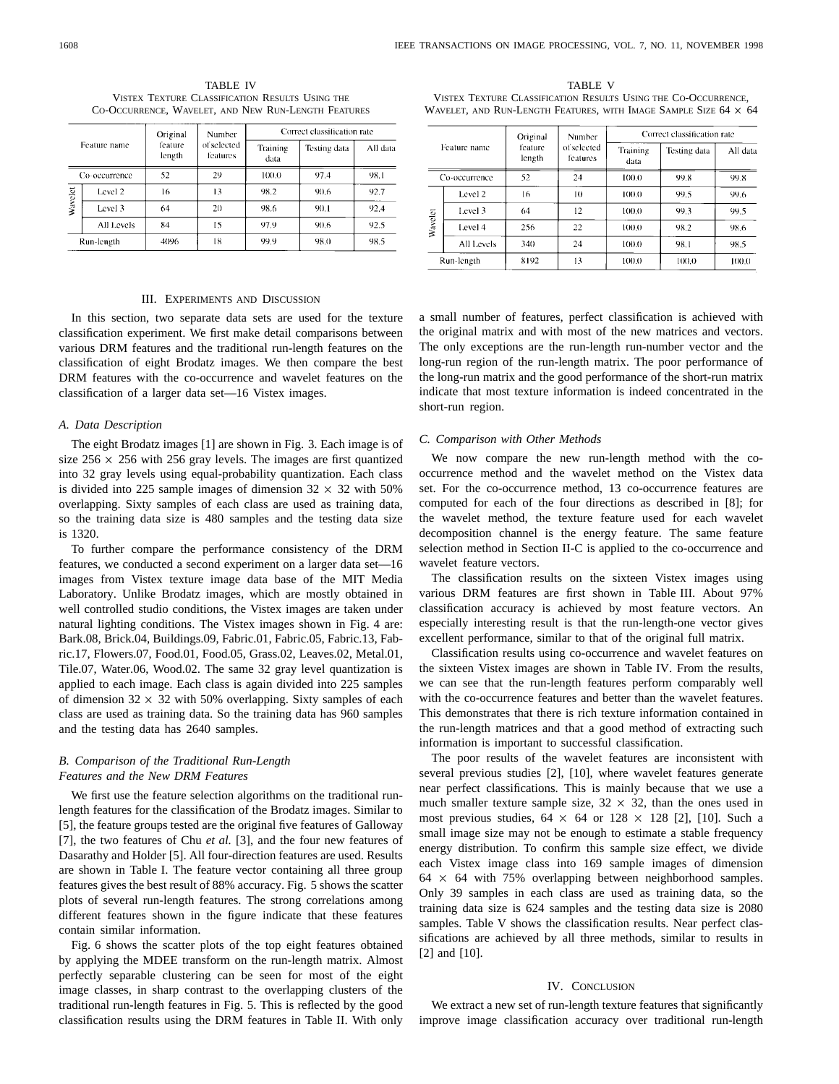|              |               | Original          | <b>Number</b>           | Correct classification rate |              |          |
|--------------|---------------|-------------------|-------------------------|-----------------------------|--------------|----------|
| Feature name |               | feature<br>length | of selected<br>features | Training<br>data            | Testing data | All data |
|              | Co-occurrence | 52                | 29                      | 100.0                       | 97.4         | 98.1     |
|              | Level 2       | 16                | 13                      | 98.2                        | 90.6         | 92.7     |
| Wavelet      | Level 3       | 64                | 20                      | 98.6                        | 90.1         | 92.4     |
|              | All Levels    | 84                | 15                      | 97.9                        | 90.6         | 92.5     |
| Run-length   |               | 4096              | 18                      | 99.9                        | 98.0         | 98.5     |

TABLE IV VISTEX TEXTURE CLASSIFICATION RESULTS USING THE CO-OCCURRENCE, WAVELET, AND NEW RUN-LENGTH FEATURES

### III. EXPERIMENTS AND DISCUSSION

In this section, two separate data sets are used for the texture classification experiment. We first make detail comparisons between various DRM features and the traditional run-length features on the classification of eight Brodatz images. We then compare the best DRM features with the co-occurrence and wavelet features on the classification of a larger data set—16 Vistex images.

### *A. Data Description*

The eight Brodatz images [1] are shown in Fig. 3. Each image is of size  $256 \times 256$  with 256 gray levels. The images are first quantized into 32 gray levels using equal-probability quantization. Each class is divided into 225 sample images of dimension  $32 \times 32$  with 50% overlapping. Sixty samples of each class are used as training data, so the training data size is 480 samples and the testing data size is 1320.

To further compare the performance consistency of the DRM features, we conducted a second experiment on a larger data set—16 images from Vistex texture image data base of the MIT Media Laboratory. Unlike Brodatz images, which are mostly obtained in well controlled studio conditions, the Vistex images are taken under natural lighting conditions. The Vistex images shown in Fig. 4 are: Bark.08, Brick.04, Buildings.09, Fabric.01, Fabric.05, Fabric.13, Fabric.17, Flowers.07, Food.01, Food.05, Grass.02, Leaves.02, Metal.01, Tile.07, Water.06, Wood.02. The same 32 gray level quantization is applied to each image. Each class is again divided into 225 samples of dimension  $32 \times 32$  with 50% overlapping. Sixty samples of each class are used as training data. So the training data has 960 samples and the testing data has 2640 samples.

# *B. Comparison of the Traditional Run-Length Features and the New DRM Features*

We first use the feature selection algorithms on the traditional runlength features for the classification of the Brodatz images. Similar to [5], the feature groups tested are the original five features of Galloway [7], the two features of Chu *et al.* [3], and the four new features of Dasarathy and Holder [5]. All four-direction features are used. Results are shown in Table I. The feature vector containing all three group features gives the best result of 88% accuracy. Fig. 5 shows the scatter plots of several run-length features. The strong correlations among different features shown in the figure indicate that these features contain similar information.

Fig. 6 shows the scatter plots of the top eight features obtained by applying the MDEE transform on the run-length matrix. Almost perfectly separable clustering can be seen for most of the eight image classes, in sharp contrast to the overlapping clusters of the traditional run-length features in Fig. 5. This is reflected by the good classification results using the DRM features in Table II. With only

TABLE V VISTEX TEXTURE CLASSIFICATION RESULTS USING THE CO-OCCURRENCE, WAVELET, AND RUN-LENGTH FEATURES, WITH IMAGE SAMPLE SIZE  $64 \times 64$ 

| Feature name<br>Co-occurrence |     | Original<br>feature<br>length<br>52 | Number<br>of selected<br>features<br>24 | Correct classification rate |                      |                  |
|-------------------------------|-----|-------------------------------------|-----------------------------------------|-----------------------------|----------------------|------------------|
|                               |     |                                     |                                         | Training<br>data<br>100.0   | Testing data<br>99.8 | All data<br>99.8 |
|                               |     |                                     |                                         |                             |                      |                  |
| Level 3                       | 64  | 12                                  | 100.0                                   | 99.3                        | 99.5                 |                  |
| Level 4                       | 256 | 22                                  | 100.0                                   | 98.2                        | 98.6                 |                  |
| All Levels                    | 340 | 24                                  | 100.0                                   | 98.1                        | 98.5                 |                  |
| Run-length                    |     | 8192                                | 13                                      | 100.0                       | 100.0                | 100.0            |

a small number of features, perfect classification is achieved with the original matrix and with most of the new matrices and vectors. The only exceptions are the run-length run-number vector and the long-run region of the run-length matrix. The poor performance of the long-run matrix and the good performance of the short-run matrix indicate that most texture information is indeed concentrated in the short-run region.

#### *C. Comparison with Other Methods*

We now compare the new run-length method with the cooccurrence method and the wavelet method on the Vistex data set. For the co-occurrence method, 13 co-occurrence features are computed for each of the four directions as described in [8]; for the wavelet method, the texture feature used for each wavelet decomposition channel is the energy feature. The same feature selection method in Section II-C is applied to the co-occurrence and wavelet feature vectors.

The classification results on the sixteen Vistex images using various DRM features are first shown in Table III. About 97% classification accuracy is achieved by most feature vectors. An especially interesting result is that the run-length-one vector gives excellent performance, similar to that of the original full matrix.

Classification results using co-occurrence and wavelet features on the sixteen Vistex images are shown in Table IV. From the results, we can see that the run-length features perform comparably well with the co-occurrence features and better than the wavelet features. This demonstrates that there is rich texture information contained in the run-length matrices and that a good method of extracting such information is important to successful classification.

The poor results of the wavelet features are inconsistent with several previous studies [2], [10], where wavelet features generate near perfect classifications. This is mainly because that we use a much smaller texture sample size,  $32 \times 32$ , than the ones used in most previous studies,  $64 \times 64$  or  $128 \times 128$  [2], [10]. Such a small image size may not be enough to estimate a stable frequency energy distribution. To confirm this sample size effect, we divide each Vistex image class into 169 sample images of dimension  $64 \times 64$  with  $75\%$  overlapping between neighborhood samples. Only 39 samples in each class are used as training data, so the training data size is 624 samples and the testing data size is 2080 samples. Table V shows the classification results. Near perfect classifications are achieved by all three methods, similar to results in [2] and [10].

### IV. CONCLUSION

We extract a new set of run-length texture features that significantly improve image classification accuracy over traditional run-length